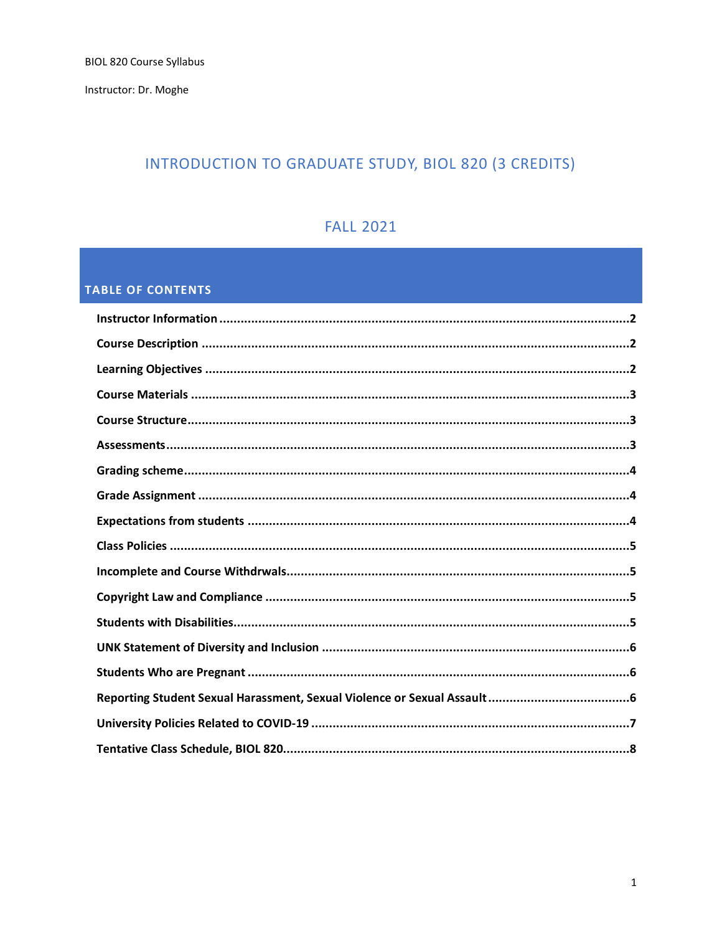Instructor: Dr. Moghe

# INTRODUCTION TO GRADUATE STUDY, BIOL 820 (3 CREDITS)

# **FALL 2021**

# **TABLE OF CONTENTS**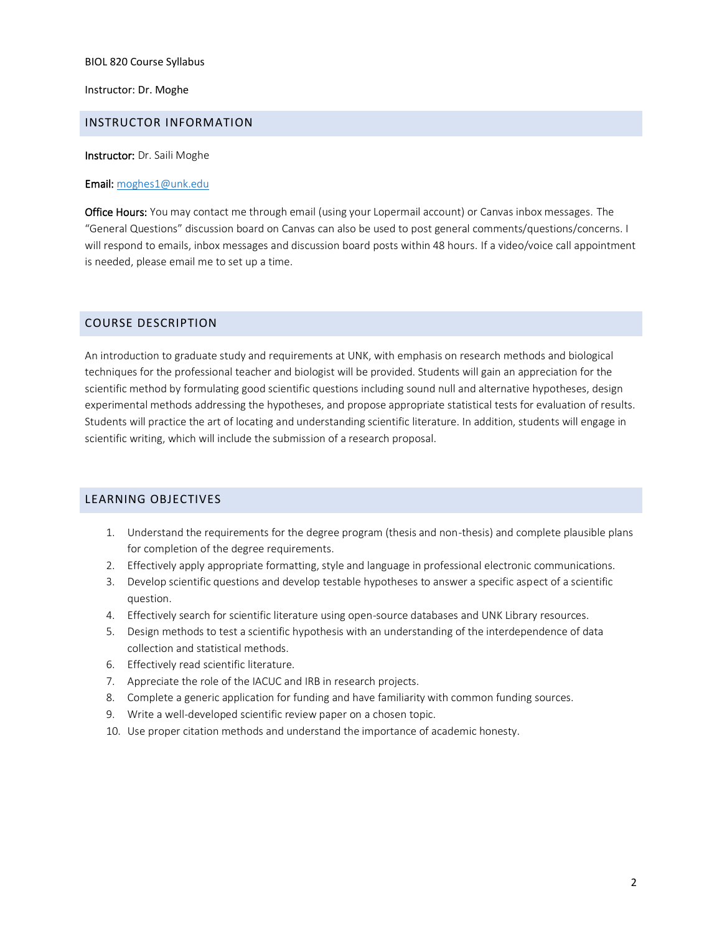Instructor: Dr. Moghe

#### <span id="page-1-0"></span>INSTRUCTOR INFORMATION

Instructor: Dr. Saili Moghe

#### Email: [moghes1@unk.edu](mailto:moghes1@unk.edu)

Office Hours: You may contact me through email (using your Lopermail account) or Canvas inbox messages. The "General Questions" discussion board on Canvas can also be used to post general comments/questions/concerns. I will respond to emails, inbox messages and discussion board posts within 48 hours. If a video/voice call appointment is needed, please email me to set up a time.

### <span id="page-1-1"></span>COURSE DESCRIPTION

An introduction to graduate study and requirements at UNK, with emphasis on research methods and biological techniques for the professional teacher and biologist will be provided. Students will gain an appreciation for the scientific method by formulating good scientific questions including sound null and alternative hypotheses, design experimental methods addressing the hypotheses, and propose appropriate statistical tests for evaluation of results. Students will practice the art of locating and understanding scientific literature. In addition, students will engage in scientific writing, which will include the submission of a research proposal.

### <span id="page-1-2"></span>LEARNING OBJECTIVES

- 1. Understand the requirements for the degree program (thesis and non-thesis) and complete plausible plans for completion of the degree requirements.
- 2. Effectively apply appropriate formatting, style and language in professional electronic communications.
- 3. Develop scientific questions and develop testable hypotheses to answer a specific aspect of a scientific question.
- 4. Effectively search for scientific literature using open-source databases and UNK Library resources.
- 5. Design methods to test a scientific hypothesis with an understanding of the interdependence of data collection and statistical methods.
- 6. Effectively read scientific literature.
- 7. Appreciate the role of the IACUC and IRB in research projects.
- 8. Complete a generic application for funding and have familiarity with common funding sources.
- 9. Write a well-developed scientific review paper on a chosen topic.
- 10. Use proper citation methods and understand the importance of academic honesty.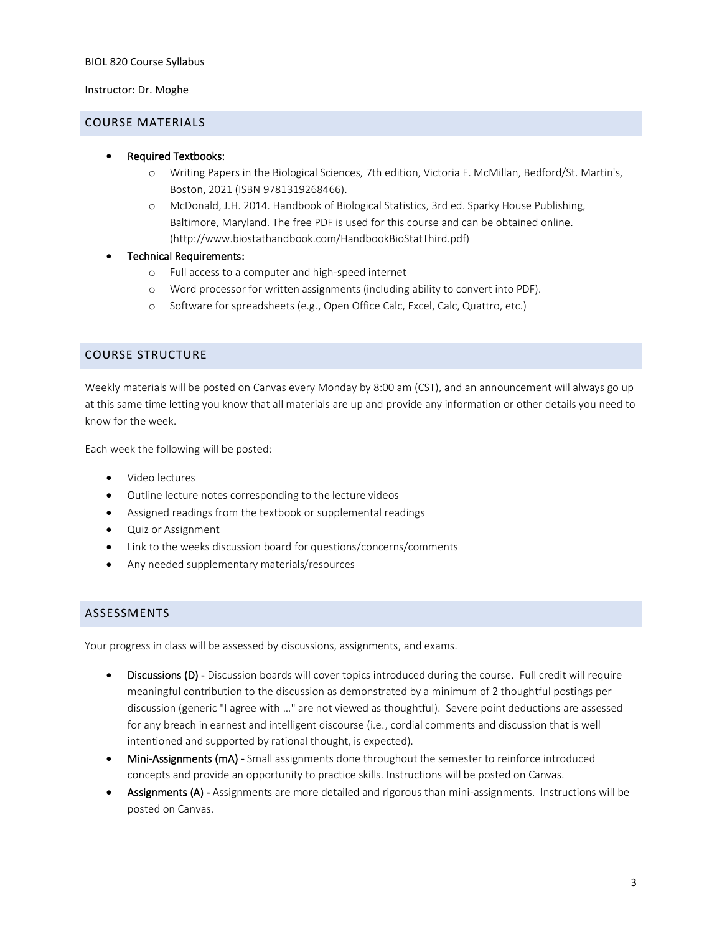#### Instructor: Dr. Moghe

#### <span id="page-2-0"></span>COURSE MATERIALS

- Required Textbooks:
	- o Writing Papers in the Biological Sciences, 7th edition, Victoria E. McMillan, Bedford/St. Martin's, Boston, 2021 (ISBN 9781319268466).
	- o McDonald, J.H. 2014. Handbook of Biological Statistics, 3rd ed. Sparky House Publishing, Baltimore, Maryland. The free PDF is used for this course and can be obtained online. (http://www.biostathandbook.com/HandbookBioStatThird.pdf)
- Technical Requirements:
	- o Full access to a computer and high-speed internet
	- o Word processor for written assignments (including ability to convert into PDF).
	- o Software for spreadsheets (e.g., Open Office Calc, Excel, Calc, Quattro, etc.)

### <span id="page-2-1"></span>COURSE STRUCTURE

Weekly materials will be posted on Canvas every Monday by 8:00 am (CST), and an announcement will always go up at this same time letting you know that all materials are up and provide any information or other details you need to know for the week.

Each week the following will be posted:

- Video lectures
- Outline lecture notes corresponding to the lecture videos
- Assigned readings from the textbook or supplemental readings
- Quiz or Assignment
- Link to the weeks discussion board for questions/concerns/comments
- Any needed supplementary materials/resources

### <span id="page-2-2"></span>ASSESSMENTS

Your progress in class will be assessed by discussions, assignments, and exams.

- Discussions (D) Discussion boards will cover topics introduced during the course. Full credit will require meaningful contribution to the discussion as demonstrated by a minimum of 2 thoughtful postings per discussion (generic "I agree with …" are not viewed as thoughtful). Severe point deductions are assessed for any breach in earnest and intelligent discourse (i.e., cordial comments and discussion that is well intentioned and supported by rational thought, is expected).
- Mini-Assignments (mA) Small assignments done throughout the semester to reinforce introduced concepts and provide an opportunity to practice skills. Instructions will be posted on Canvas.
- Assignments (A) Assignments are more detailed and rigorous than mini-assignments. Instructions will be posted on Canvas.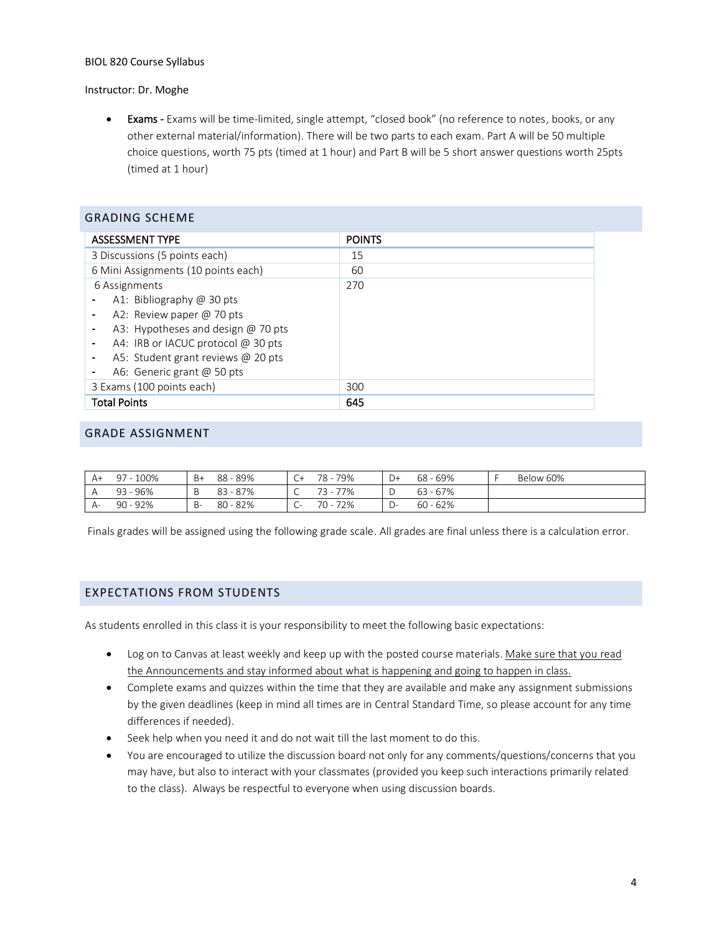#### Instructor: Dr. Moghe

<span id="page-3-0"></span> $\overline{\phantom{a}}$ 

• Exams - Exams will be time-limited, single attempt, "closed book" (no reference to notes, books, or any other external material/information). There will be two parts to each exam. Part A will be 50 multiple choice questions, worth 75 pts (timed at 1 hour) and Part B will be 5 short answer questions worth 25pts (timed at 1 hour)

| GRADING SCHEME                      |               |
|-------------------------------------|---------------|
| <b>ASSESSMENT TYPE</b>              | <b>POINTS</b> |
| 3 Discussions (5 points each)       | 15            |
| 6 Mini Assignments (10 points each) | 60            |
| 6 Assignments                       | 270           |
| A1: Bibliography @ 30 pts           |               |
| A2: Review paper @ 70 pts           |               |
| A3: Hypotheses and design @ 70 pts  |               |
| A4: IRB or IACUC protocol @ 30 pts  |               |
| A5: Student grant reviews @ 20 pts  |               |
| A6: Generic grant @ 50 pts          |               |
| 3 Exams (100 points each)           | 300           |
| <b>Total Points</b>                 | 645           |

## GRADE ASSIGNMENT

| A+   | 97 - 100%  | B+ | 88 - 89%   | C+                            | 78 - 79%    | D+ | 68 - 69%   | Below 60% |
|------|------------|----|------------|-------------------------------|-------------|----|------------|-----------|
|      | $93 - 96%$ |    | $83 - 87%$ | $\check{ }$                   | 77%         |    | $63 - 67%$ |           |
| $A-$ | 90 - 92%   | -B | 80 - 82%   | $\overline{\phantom{a}}$<br>֊ | 72%<br>70 - |    | $60 - 62%$ |           |

Finals grades will be assigned using the following grade scale. All grades are final unless there is a calculation error.

### <span id="page-3-1"></span>EXPECTATIONS FROM STUDENTS

As students enrolled in this class it is your responsibility to meet the following basic expectations:

- Log on to Canvas at least weekly and keep up with the posted course materials. Make sure that you read the Announcements and stay informed about what is happening and going to happen in class.
- Complete exams and quizzes within the time that they are available and make any assignment submissions by the given deadlines (keep in mind all times are in Central Standard Time, so please account for any time differences if needed).
- Seek help when you need it and do not wait till the last moment to do this.
- You are encouraged to utilize the discussion board not only for any comments/questions/concerns that you may have, but also to interact with your classmates (provided you keep such interactions primarily related to the class). Always be respectful to everyone when using discussion boards.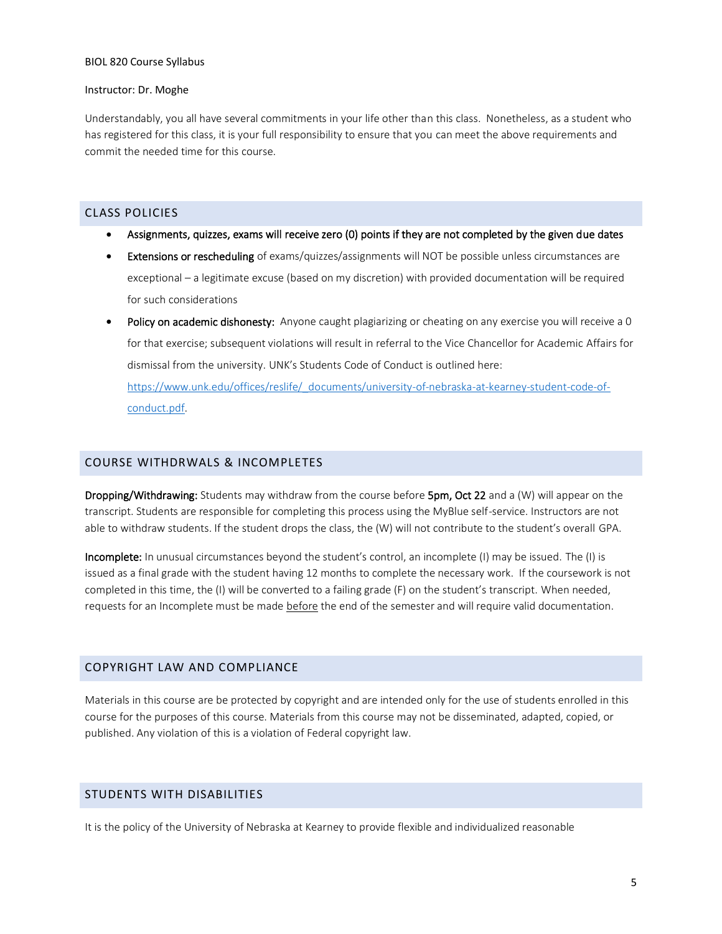#### Instructor: Dr. Moghe

Understandably, you all have several commitments in your life other than this class. Nonetheless, as a student who has registered for this class, it is your full responsibility to ensure that you can meet the above requirements and commit the needed time for this course.

### <span id="page-4-0"></span>CLASS POLICIES

- Assignments, quizzes, exams will receive zero (0) points if they are not completed by the given due dates
- Extensions or rescheduling of exams/quizzes/assignments will NOT be possible unless circumstances are exceptional – a legitimate excuse (based on my discretion) with provided documentation will be required for such considerations
- Policy on academic dishonesty: Anyone caught plagiarizing or cheating on any exercise you will receive a 0 for that exercise; subsequent violations will result in referral to the Vice Chancellor for Academic Affairs for dismissal from the university. UNK's Students Code of Conduct is outlined here: [https://www.unk.edu/offices/reslife/\\_documents/university-of-nebraska-at-kearney-student-code-of](https://www.unk.edu/offices/reslife/_documents/university-of-nebraska-at-kearney-student-code-of-conduct.pdf)[conduct.pdf.](https://www.unk.edu/offices/reslife/_documents/university-of-nebraska-at-kearney-student-code-of-conduct.pdf)

### <span id="page-4-1"></span>COURSE WITHDRWALS & INCOMPLETES

Dropping/Withdrawing: Students may withdraw from the course before 5pm, Oct 22 and a (W) will appear on the transcript. Students are responsible for completing this process using the MyBlue self-service. Instructors are not able to withdraw students. If the student drops the class, the (W) will not contribute to the student's overall GPA.

Incomplete: In unusual circumstances beyond the student's control, an incomplete (I) may be issued. The (I) is issued as a final grade with the student having 12 months to complete the necessary work. If the coursework is not completed in this time, the (I) will be converted to a failing grade (F) on the student's transcript. When needed, requests for an Incomplete must be made before the end of the semester and will require valid documentation.

### <span id="page-4-2"></span>COPYRIGHT LAW AND COMPLIANCE

Materials in this course are be protected by copyright and are intended only for the use of students enrolled in this course for the purposes of this course. Materials from this course may not be disseminated, adapted, copied, or published. Any violation of this is a violation of Federal copyright law.

### <span id="page-4-3"></span>STUDENTS WITH DISABILITIES

It is the policy of the University of Nebraska at Kearney to provide flexible and individualized reasonable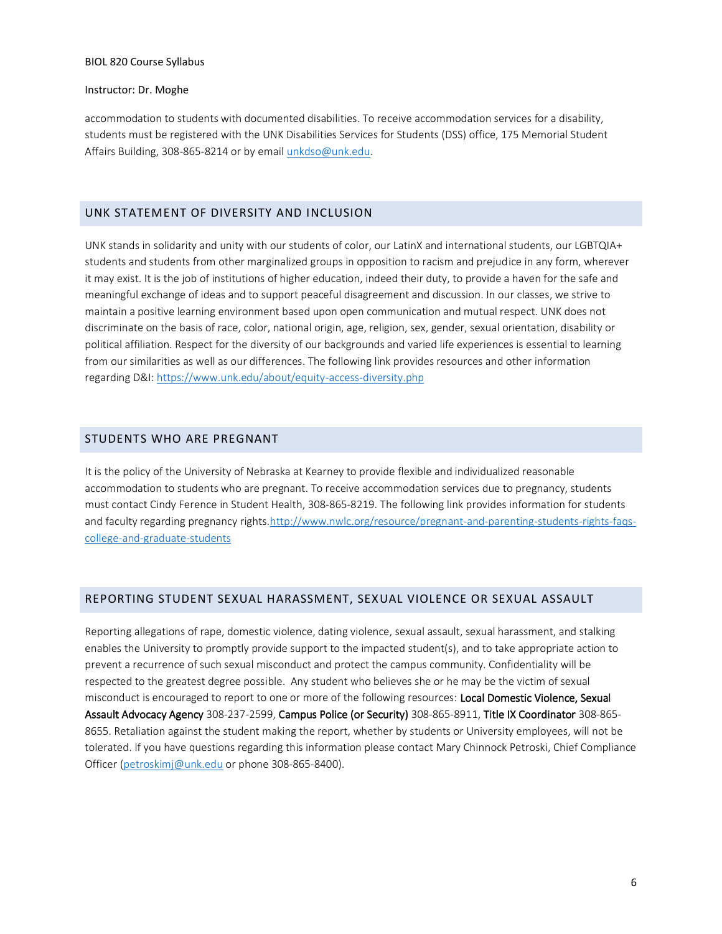#### Instructor: Dr. Moghe

accommodation to students with documented disabilities. To receive accommodation services for a disability, students must be registered with the UNK Disabilities Services for Students (DSS) office, 175 Memorial Student Affairs Building, 308-865-8214 or by email [unkdso@unk.edu.](mailto:unkdso@unk.edu)

### <span id="page-5-0"></span>UNK STATEMENT OF DIVERSITY AND INCLUSION

UNK stands in solidarity and unity with our students of color, our LatinX and international students, our LGBTQIA+ students and students from other marginalized groups in opposition to racism and prejudice in any form, wherever it may exist. It is the job of institutions of higher education, indeed their duty, to provide a haven for the safe and meaningful exchange of ideas and to support peaceful disagreement and discussion. In our classes, we strive to maintain a positive learning environment based upon open communication and mutual respect. UNK does not discriminate on the basis of race, color, national origin, age, religion, sex, gender, sexual orientation, disability or political affiliation. Respect for the diversity of our backgrounds and varied life experiences is essential to learning from our similarities as well as our differences. The following link provides resources and other information regarding D&I:<https://www.unk.edu/about/equity-access-diversity.php>

### <span id="page-5-1"></span>STUDENTS WHO ARE PREGNANT

It is the policy of the University of Nebraska at Kearney to provide flexible and individualized reasonable accommodation to students who are pregnant. To receive accommodation services due to pregnancy, students must contact Cindy Ference in Student Health, 308-865-8219. The following link provides information for students and faculty regarding pregnancy rights[.http://www.nwlc.org/resource/pregnant-and-parenting-students-rights-faqs](https://urldefense.proofpoint.com/v2/url?u=http-3A__www.nwlc.org_resource_pregnant-2Dand-2Dparenting-2Dstudents-2Drights-2Dfaqs-2Dcollege-2Dand-2Dgraduate-2Dstudents&d=DwMFAg&c=Cu5g146wZdoqVuKpTNsYHeFX_rg6kWhlkLF8Eft-wwo&r=BJkIhAaMtWY7PlqIhIOyVw&m=RgBL3s2VNHfvD5ReMK2q_PhwYU8dbEt1vxs1BO4WkpQ&s=MmB91XAzaW-E7UPMXPGx9tWJQbTWJYyYzM8gLjhEzQ0&e=)[college-and-graduate-students](https://urldefense.proofpoint.com/v2/url?u=http-3A__www.nwlc.org_resource_pregnant-2Dand-2Dparenting-2Dstudents-2Drights-2Dfaqs-2Dcollege-2Dand-2Dgraduate-2Dstudents&d=DwMFAg&c=Cu5g146wZdoqVuKpTNsYHeFX_rg6kWhlkLF8Eft-wwo&r=BJkIhAaMtWY7PlqIhIOyVw&m=RgBL3s2VNHfvD5ReMK2q_PhwYU8dbEt1vxs1BO4WkpQ&s=MmB91XAzaW-E7UPMXPGx9tWJQbTWJYyYzM8gLjhEzQ0&e=)

### <span id="page-5-2"></span>REPORTING STUDENT SEXUAL HARASSMENT, SEXUAL VIOLENCE OR SEXUAL ASSAULT

Reporting allegations of rape, domestic violence, dating violence, sexual assault, sexual harassment, and stalking enables the University to promptly provide support to the impacted student(s), and to take appropriate action to prevent a recurrence of such sexual misconduct and protect the campus community. Confidentiality will be respected to the greatest degree possible. Any student who believes she or he may be the victim of sexual misconduct is encouraged to report to one or more of the following resources: Local Domestic Violence, Sexual Assault Advocacy Agency 308-237-2599, Campus Police (or Security) 308-865-8911, Title IX Coordinator 308-865- 8655. Retaliation against the student making the report, whether by students or University employees, will not be tolerated. If you have questions regarding this information please contact Mary Chinnock Petroski, Chief Compliance Officer [\(petroskimj@unk.edu](mailto:petroskimj@unk.edu) or phone 308-865-8400).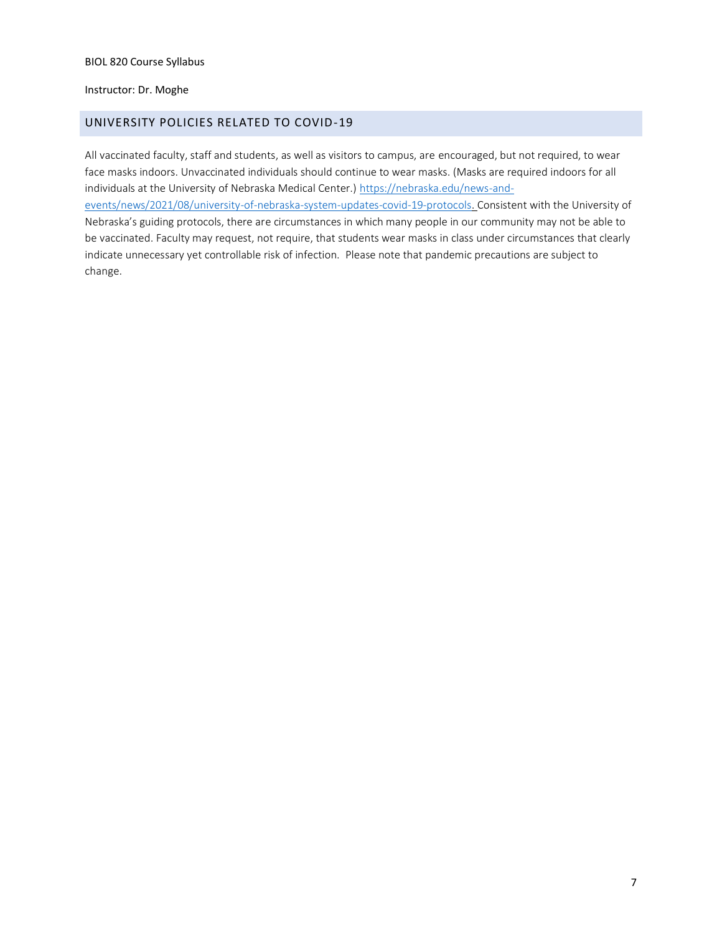#### Instructor: Dr. Moghe

### <span id="page-6-0"></span>UNIVERSITY POLICIES RELATED TO COVID-19

All vaccinated faculty, staff and students, as well as visitors to campus, are encouraged, but not required, to wear face masks indoors. Unvaccinated individuals should continue to wear masks. (Masks are required indoors for all individuals at the University of Nebraska Medical Center.) [https://nebraska.edu/news-and](https://nebraska.edu/news-and-events/news/2021/08/university-of-nebraska-system-updates-covid-19-protocols)[events/news/2021/08/university-of-nebraska-system-updates-covid-19-protocols.](https://nebraska.edu/news-and-events/news/2021/08/university-of-nebraska-system-updates-covid-19-protocols) Consistent with the University of Nebraska's guiding protocols, there are circumstances in which many people in our community may not be able to be vaccinated. Faculty may request, not require, that students wear masks in class under circumstances that clearly indicate unnecessary yet controllable risk of infection. Please note that pandemic precautions are subject to change.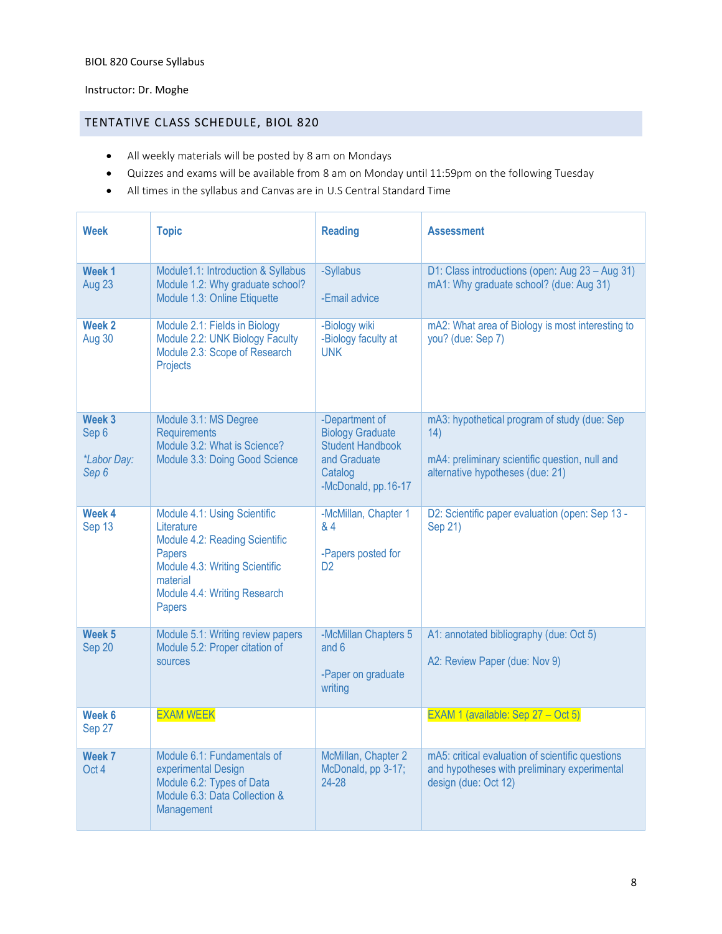# Instructor: Dr. Moghe

# <span id="page-7-0"></span>TENTATIVE CLASS SCHEDULE, BIOL 820

- All weekly materials will be posted by 8 am on Mondays
- Quizzes and exams will be available from 8 am on Monday until 11:59pm on the following Tuesday
- All times in the syllabus and Canvas are in U.S Central Standard Time

| <b>Week</b>                                               | <b>Topic</b>                                                                                                                                                                   | <b>Reading</b>                                                                                                         | <b>Assessment</b>                                                                                                                         |
|-----------------------------------------------------------|--------------------------------------------------------------------------------------------------------------------------------------------------------------------------------|------------------------------------------------------------------------------------------------------------------------|-------------------------------------------------------------------------------------------------------------------------------------------|
| Week <sub>1</sub><br>Aug 23                               | Module1.1: Introduction & Syllabus<br>Module 1.2: Why graduate school?<br>Module 1.3: Online Etiquette                                                                         | -Syllabus<br>-Email advice                                                                                             | D1: Class introductions (open: Aug 23 - Aug 31)<br>mA1: Why graduate school? (due: Aug 31)                                                |
| Week <sub>2</sub><br>Aug 30                               | Module 2.1: Fields in Biology<br>Module 2.2: UNK Biology Faculty<br>Module 2.3: Scope of Research<br>Projects                                                                  | -Biology wiki<br>-Biology faculty at<br><b>UNK</b>                                                                     | mA2: What area of Biology is most interesting to<br>you? (due: Sep 7)                                                                     |
| Week <sub>3</sub><br>Sep 6<br><i>*Labor Day:</i><br>Sep 6 | Module 3.1: MS Degree<br><b>Requirements</b><br>Module 3.2: What is Science?<br>Module 3.3: Doing Good Science                                                                 | -Department of<br><b>Biology Graduate</b><br><b>Student Handbook</b><br>and Graduate<br>Catalog<br>-McDonald, pp.16-17 | mA3: hypothetical program of study (due: Sep<br>14)<br>mA4: preliminary scientific question, null and<br>alternative hypotheses (due: 21) |
| Week 4<br>Sep 13                                          | Module 4.1: Using Scientific<br>Literature<br>Module 4.2: Reading Scientific<br>Papers<br>Module 4.3: Writing Scientific<br>material<br>Module 4.4: Writing Research<br>Papers | -McMillan, Chapter 1<br>& 4<br>-Papers posted for<br>D <sub>2</sub>                                                    | D2: Scientific paper evaluation (open: Sep 13 -<br>Sep 21)                                                                                |
| Week <sub>5</sub><br>Sep 20                               | Module 5.1: Writing review papers<br>Module 5.2: Proper citation of<br>sources                                                                                                 | -McMillan Chapters 5<br>and 6<br>-Paper on graduate<br>writing                                                         | A1: annotated bibliography (due: Oct 5)<br>A2: Review Paper (due: Nov 9)                                                                  |
| Week <sub>6</sub><br>Sep 27                               | <b>EXAM WEEK</b>                                                                                                                                                               |                                                                                                                        | EXAM 1 (available: Sep 27 - Oct 5)                                                                                                        |
| Week 7<br>Oct 4                                           | Module 6.1: Fundamentals of<br>experimental Design<br>Module 6.2: Types of Data<br>Module 6.3: Data Collection &<br>Management                                                 | McMillan, Chapter 2<br>McDonald, pp 3-17;<br>24-28                                                                     | mA5: critical evaluation of scientific questions<br>and hypotheses with preliminary experimental<br>design (due: Oct 12)                  |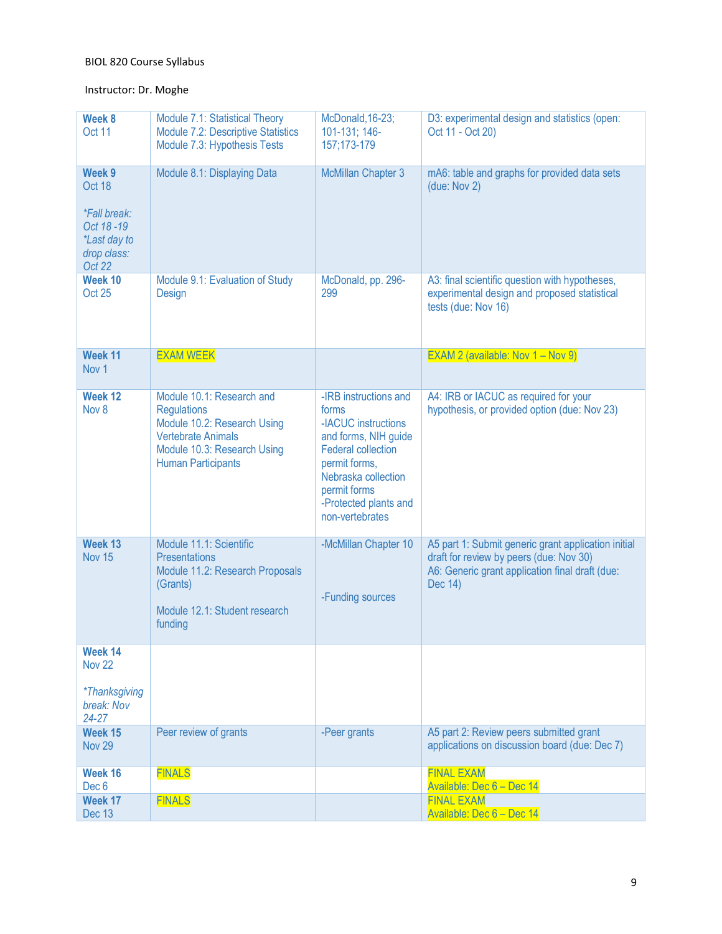# Instructor: Dr. Moghe

| Week 8<br>Oct 11                                                                                            | Module 7.1: Statistical Theory<br>Module 7.2: Descriptive Statistics<br>Module 7.3: Hypothesis Tests                                                                    | McDonald, 16-23;<br>101-131; 146-<br>157;173-179                                                                                                                                                               | D3: experimental design and statistics (open:<br>Oct 11 - Oct 20)                                                                                            |
|-------------------------------------------------------------------------------------------------------------|-------------------------------------------------------------------------------------------------------------------------------------------------------------------------|----------------------------------------------------------------------------------------------------------------------------------------------------------------------------------------------------------------|--------------------------------------------------------------------------------------------------------------------------------------------------------------|
| Week 9<br>Oct 18<br><i><b>*Fall break:</b></i><br>Oct 18-19<br><i>*Last day to</i><br>drop class:<br>Oct 22 | Module 8.1: Displaying Data                                                                                                                                             | McMillan Chapter 3                                                                                                                                                                                             | mA6: table and graphs for provided data sets<br>(due: Nov 2)                                                                                                 |
| Week 10<br><b>Oct 25</b>                                                                                    | Module 9.1: Evaluation of Study<br>Design                                                                                                                               | McDonald, pp. 296-<br>299                                                                                                                                                                                      | A3: final scientific question with hypotheses,<br>experimental design and proposed statistical<br>tests (due: Nov 16)                                        |
| Week 11<br>Nov <sub>1</sub>                                                                                 | <b>EXAM WEEK</b>                                                                                                                                                        |                                                                                                                                                                                                                | EXAM 2 (available: Nov $1 -$ Nov 9)                                                                                                                          |
| Week 12<br>Nov 8                                                                                            | Module 10.1: Research and<br><b>Regulations</b><br>Module 10.2: Research Using<br><b>Vertebrate Animals</b><br>Module 10.3: Research Using<br><b>Human Participants</b> | -IRB instructions and<br>forms<br>-IACUC instructions<br>and forms, NIH guide<br><b>Federal collection</b><br>permit forms,<br>Nebraska collection<br>permit forms<br>-Protected plants and<br>non-vertebrates | A4: IRB or IACUC as required for your<br>hypothesis, or provided option (due: Nov 23)                                                                        |
| Week 13<br><b>Nov 15</b>                                                                                    | Module 11.1: Scientific<br><b>Presentations</b><br>Module 11.2: Research Proposals<br>(Grants)<br>Module 12.1: Student research<br>funding                              | -McMillan Chapter 10<br>-Funding sources                                                                                                                                                                       | A5 part 1: Submit generic grant application initial<br>draft for review by peers (due: Nov 30)<br>A6: Generic grant application final draft (due:<br>Dec 14) |
| Week 14<br><b>Nov 22</b>                                                                                    |                                                                                                                                                                         |                                                                                                                                                                                                                |                                                                                                                                                              |
| <i>*Thanksgiving</i><br>break: Nov<br>$24 - 27$                                                             |                                                                                                                                                                         |                                                                                                                                                                                                                |                                                                                                                                                              |
| Week 15<br><b>Nov 29</b>                                                                                    | Peer review of grants                                                                                                                                                   | -Peer grants                                                                                                                                                                                                   | A5 part 2: Review peers submitted grant<br>applications on discussion board (due: Dec 7)                                                                     |
| Week 16<br>Dec <sub>6</sub>                                                                                 | <b>FINALS</b>                                                                                                                                                           |                                                                                                                                                                                                                | <b>FINAL EXAM</b><br>Available: Dec 6 - Dec 14                                                                                                               |
| Week 17<br>Dec 13                                                                                           | <b>FINALS</b>                                                                                                                                                           |                                                                                                                                                                                                                | <b>FINAL EXAM</b><br>Available: Dec 6 - Dec 14                                                                                                               |